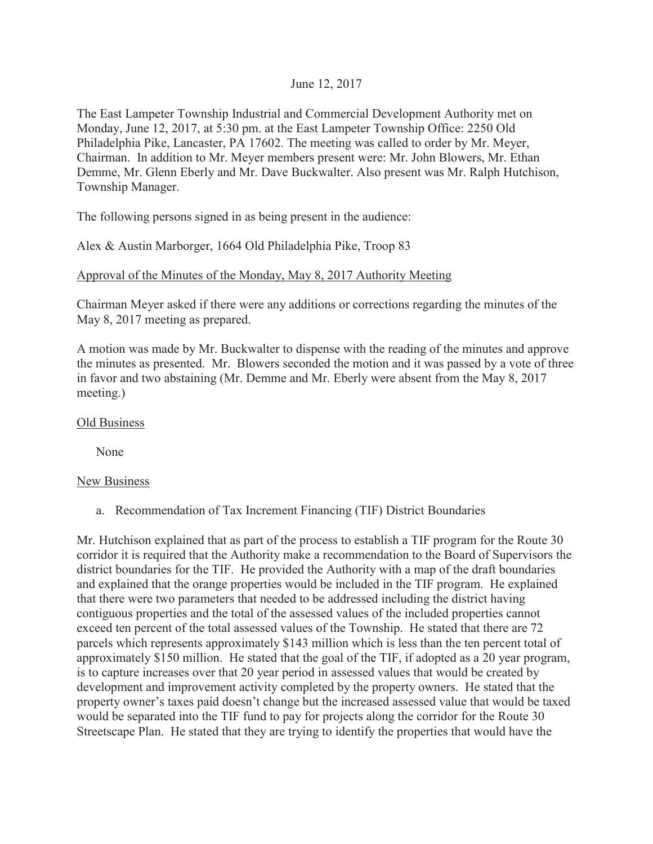## June 12, 2017

The East Lampeter Township Industrial and Commercial Development Authority met on Monday, June 12, 2017, at 5:30 pm. at the East Lampeter Township Office: 2250 Old Philadelphia Pike, Lancaster, PA 17602. The meeting was called to order by Mr. Meyer, Chairman. In addition to Mr. Meyer members present were: Mr. John Blowers, Mr. Ethan Demme, Mr. Glenn Eberly and Mr. Dave Buckwalter. Also present was Mr. Ralph Hutchison, Township Manager.

The following persons signed in as being present in the audience:

Alex & Austin Marborger, 1664 Old Philadelphia Pike, Troop 83

## Approval of the Minutes of the Monday, May 8, 2017 Authority Meeting

Chairman Meyer asked if there were any additions or corrections regarding the minutes of the May 8, 2017 meeting as prepared.

A motion was made by Mr. Buckwalter to dispense with the reading of the minutes and approve the minutes as presented. Mr. Blowers seconded the motion and it was passed by a vote of three in favor and two abstaining (Mr. Demme and Mr. Eberly were absent from the May 8, 2017 meeting.)

## Old Business

None

## New Business

a. Recommendation of Tax Increment Financing (TIF) District Boundaries

Mr. Hutchison explained that as part of the process to establish a TIF program for the Route 30 corridor it is required that the Authority make a recommendation to the Board of Supervisors the district boundaries for the TIF. He provided the Authority with a map of the draft boundaries and explained that the orange properties would be included in the TIF program. He explained that there were two parameters that needed to be addressed including the district having contiguous properties and the total of the assessed values of the included properties cannot exceed ten percent of the total assessed values of the Township. He stated that there are 72 parcels which represents approximately \$143 million which is less than the ten percent total of approximately \$150 million. He stated that the goal of the TIF, if adopted as a 20 year program, is to capture increases over that 20 year period in assessed values that would be created by development and improvement activity completed by the property owners. He stated that the property owner's taxes paid doesn't change but the increased assessed value that would be taxed would be separated into the TIF fund to pay for projects along the corridor for the Route 30 Streetscape Plan. He stated that they are trying to identify the properties that would have the